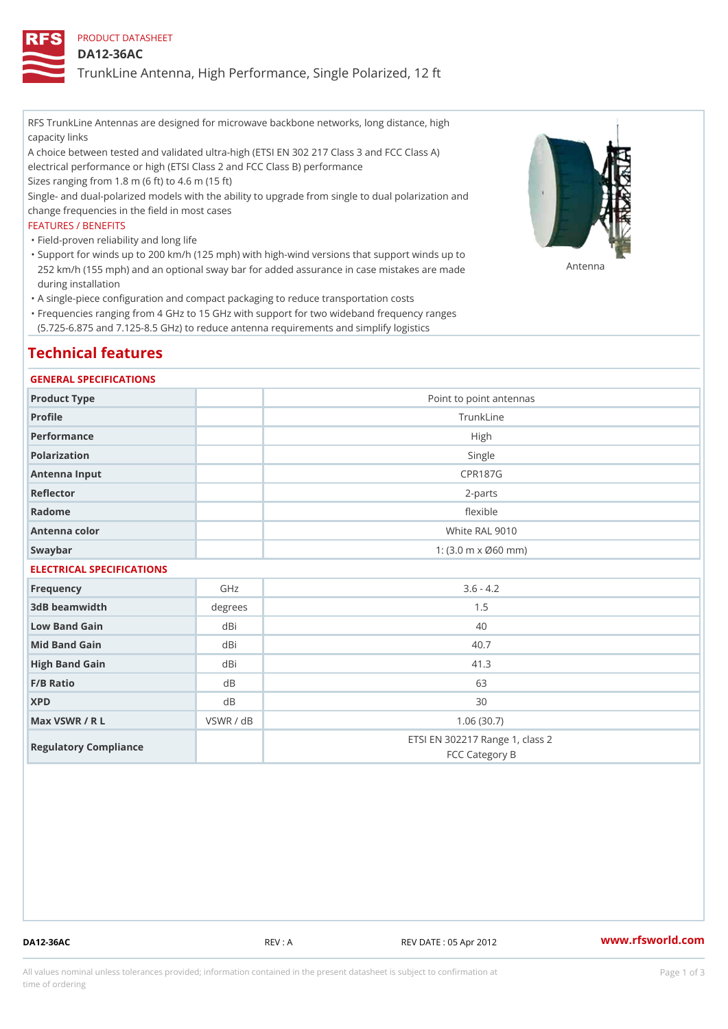PRODUCT DATASHEET

DA12-36AC

TrunkLine Antenna, High Performance, Single Polarized, 12 ft

RFS TrunkLine Antennas are designed for microwave backbone networks, long distance, high capacity links

A choice between tested and validated ultra-high (ETSI EN 302 217 Class 3 and FCC Class A) electrical performance or high (ETSI Class 2 and FCC Class B) performance

Sizes ranging from 1.8 m (6 ft) to 4.6 m (15 ft)

Single- and dual-polarized models with the ability to upgrade from single to dual polarization and change frequencies in the field in most cases

### FEATURES / BENEFITS

"Field-proven reliability and long life

- Support for winds up to 200 km/h (125 mph) with high-wind versions that support winds up to " 252 km/h (155 mph) and an optional sway bar for added assurance in case m 48 #8 R B & are made during installation
- "A single-piece configuration and compact packaging to reduce transportation costs
- Frequencies ranging from 4 GHz to 15 GHz with support for two wideband frequency ranges " (5.725-6.875 and 7.125-8.5 GHz) to reduce antenna requirements and simplify logistics

# Technical features

### GENERAL SPECIFICATIONS

| Product Type  | Point to point antennas                                 |
|---------------|---------------------------------------------------------|
| Profile       | TrunkLine                                               |
| Performance   | High                                                    |
| Polarization  | Single                                                  |
| Antenna Input | CPR187G                                                 |
| Reflector     | $2-parts$                                               |
| Radome        | flexible                                                |
| Antenna color | White RAL 9010                                          |
| Swaybar       | 1: $(3.0 \, \text{m} \times \emptyset 60 \, \text{mm})$ |

## ELECTRICAL SPECIFICATIONS

| Frequency             | GHz       | $3.6 - 4.2$                                       |
|-----------------------|-----------|---------------------------------------------------|
| 3dB beamwidth         | degrees   | 1.5                                               |
| Low Band Gain         | dBi       | 40                                                |
| Mid Band Gain         | dBi       | 40.7                                              |
| High Band Gain        | dBi       | 41.3                                              |
| $F/B$ Ratio           | d B       | 63                                                |
| <b>XPD</b>            | d B       | 30                                                |
| Max VSWR / R L        | VSWR / dB | 1.06(30.7)                                        |
| Regulatory Compliance |           | ETSI EN 302217 Range 1, class 2<br>FCC Category B |

DA12-36AC REV : A REV DATE : 05 Apr 2012 [www.](https://www.rfsworld.com)rfsworld.com

All values nominal unless tolerances provided; information contained in the present datasheet is subject to Pcapgeign mation time of ordering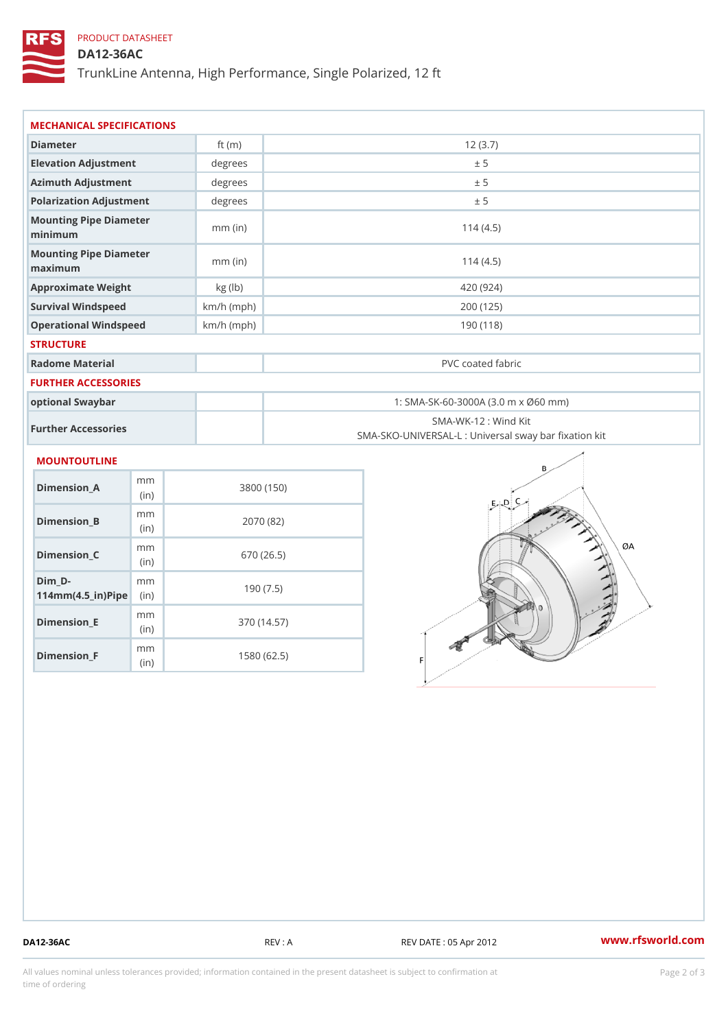## PRODUCT DATASHEET

(in)

m<sub>m</sub> (in)

Dimension\_F

## DA12-36AC

TrunkLine Antenna, High Performance, Single Polarized, 12 ft

| MECHANICAL SPECIFICATIONS                                                            |              |                                                                           |  |  |
|--------------------------------------------------------------------------------------|--------------|---------------------------------------------------------------------------|--|--|
| Diameter                                                                             | ft $(m)$     | 12(3.7)                                                                   |  |  |
| Elevation Adjustment                                                                 | degrees      | ± 5                                                                       |  |  |
| Azimuth Adjustment                                                                   | degree       | ± 5                                                                       |  |  |
| Polarization Adjustment                                                              | degrees      | ± 5                                                                       |  |  |
| Mounting Pipe Diameter<br>minimum                                                    | $mm$ (in)    | 114(4.5)                                                                  |  |  |
| Mounting Pipe Diameter<br>maximum                                                    | $mm$ (in)    | 114(4.5)                                                                  |  |  |
| Approximate Weight                                                                   | kg (lb)      | 420 (924)                                                                 |  |  |
| Survival Windspeed                                                                   | $km/h$ (mph) | 200 (125)                                                                 |  |  |
| Operational Windspeed                                                                | $km/h$ (mph) | 190 (118)                                                                 |  |  |
| <b>STRUCTURE</b>                                                                     |              |                                                                           |  |  |
| Radome Material                                                                      |              | PVC coated fabric                                                         |  |  |
| FURTHER ACCESSORIES                                                                  |              |                                                                           |  |  |
| optional Swaybar                                                                     |              | 1: SMA-SK-60-3000A (3.0 m x Ø60 mm)                                       |  |  |
| Further Accessories                                                                  |              | SMA-WK-12 : Wind Kit<br>SMA-SKO-UNIVERSAL-L : Universal sway bar fixation |  |  |
| MOUNTOUTLINE                                                                         |              |                                                                           |  |  |
| m m<br>$Dimension_A$<br>(in)                                                         |              | 3800 (150)                                                                |  |  |
| m m<br>$Dimension_B$<br>(in)                                                         |              | 2070 (82)                                                                 |  |  |
| m m<br>Dimension_C<br>(in)                                                           |              | 670 (26.5)                                                                |  |  |
| $Dim_D - D -$<br>m <sub>m</sub><br>$114$ m m (4.5 _ ir ) $\sqrt{$ im $\cdot$ $\cdot$ |              | 190(7.5)                                                                  |  |  |
| m m<br>$Dimen sion _E$                                                               |              | 370 (14.57)                                                               |  |  |

1580 (62.5)

DA12-36AC REV : A REV DATE : 05 Apr 2012 [www.](https://www.rfsworld.com)rfsworld.com